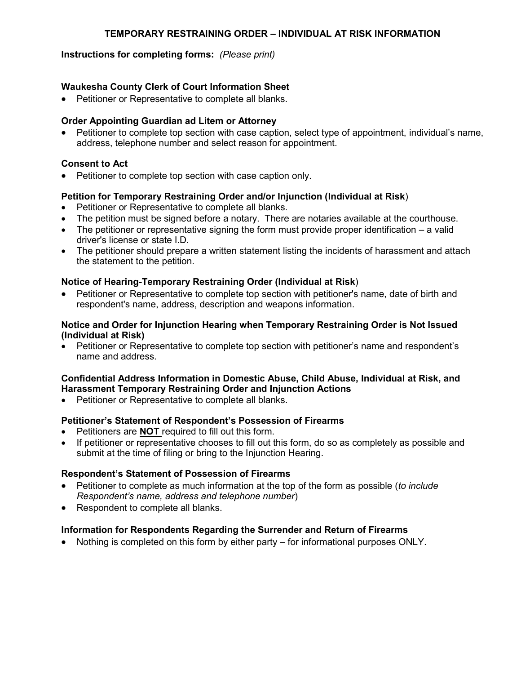## **TEMPORARY RESTRAINING ORDER – INDIVIDUAL AT RISK INFORMATION**

## **Instructions for completing forms:** *(Please print)*

## **Waukesha County Clerk of Court Information Sheet**

• Petitioner or Representative to complete all blanks.

## **Order Appointing Guardian ad Litem or Attorney**

 Petitioner to complete top section with case caption, select type of appointment, individual's name, address, telephone number and select reason for appointment.

## **Consent to Act**

Petitioner to complete top section with case caption only.

## **Petition for Temporary Restraining Order and/or Injunction (Individual at Risk**)

- Petitioner or Representative to complete all blanks.
- The petition must be signed before a notary. There are notaries available at the courthouse.
- $\bullet$  The petitioner or representative signing the form must provide proper identification a valid driver's license or state I.D.
- The petitioner should prepare a written statement listing the incidents of harassment and attach the statement to the petition.

#### **Notice of Hearing-Temporary Restraining Order (Individual at Risk**)

 Petitioner or Representative to complete top section with petitioner's name, date of birth and respondent's name, address, description and weapons information.

#### **Notice and Order for Injunction Hearing when Temporary Restraining Order is Not Issued (Individual at Risk)**

• Petitioner or Representative to complete top section with petitioner's name and respondent's name and address.

#### **Confidential Address Information in Domestic Abuse, Child Abuse, Individual at Risk, and Harassment Temporary Restraining Order and Injunction Actions**

Petitioner or Representative to complete all blanks.

#### **Petitioner's Statement of Respondent's Possession of Firearms**

- Petitioners are **NOT** required to fill out this form.
- If petitioner or representative chooses to fill out this form, do so as completely as possible and submit at the time of filing or bring to the Injunction Hearing.

## **Respondent's Statement of Possession of Firearms**

- Petitioner to complete as much information at the top of the form as possible (*to include Respondent's name, address and telephone number*)
- Respondent to complete all blanks.

## **Information for Respondents Regarding the Surrender and Return of Firearms**

Nothing is completed on this form by either party – for informational purposes ONLY.